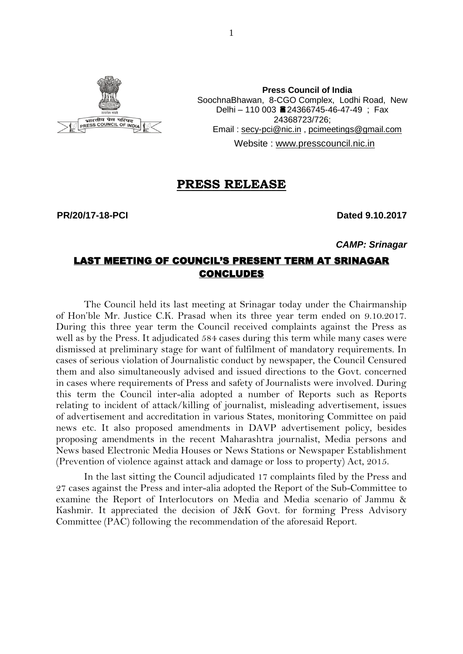

**Press Council of India** SoochnaBhawan, 8-CGO Complex, Lodhi Road, New Delhi – 110 003 24366745-46-47-49 ; Fax 24368723/726; Email : [secy-pci@nic.in](mailto:secy-pci@nic.in) , [pcimeetings@gmail.com](mailto:pcimeetings@gmail.com) Website : [www.presscouncil.nic.in](http://www.presscouncil.nic.in/)

#### **PRESS RELEASE**

**PR/20/17-18-PCI Dated 9.10.2017**

*CAMP: Srinagar*

#### LAST MEETING OF COUNCIL'S PRESENT TERM AT SRINAGAR CONCLUDES

The Council held its last meeting at Srinagar today under the Chairmanship of Hon'ble Mr. Justice C.K. Prasad when its three year term ended on 9.10.2017. During this three year term the Council received complaints against the Press as well as by the Press. It adjudicated 584 cases during this term while many cases were dismissed at preliminary stage for want of fulfilment of mandatory requirements. In cases of serious violation of Journalistic conduct by newspaper, the Council Censured them and also simultaneously advised and issued directions to the Govt. concerned in cases where requirements of Press and safety of Journalists were involved. During this term the Council inter-alia adopted a number of Reports such as Reports relating to incident of attack/killing of journalist, misleading advertisement, issues of advertisement and accreditation in various States, monitoring Committee on paid news etc. It also proposed amendments in DAVP advertisement policy, besides proposing amendments in the recent Maharashtra journalist, Media persons and News based Electronic Media Houses or News Stations or Newspaper Establishment (Prevention of violence against attack and damage or loss to property) Act, 2015.

In the last sitting the Council adjudicated 17 complaints filed by the Press and 27 cases against the Press and inter-alia adopted the Report of the Sub-Committee to examine the Report of Interlocutors on Media and Media scenario of Jammu & Kashmir. It appreciated the decision of J&K Govt. for forming Press Advisory Committee (PAC) following the recommendation of the aforesaid Report.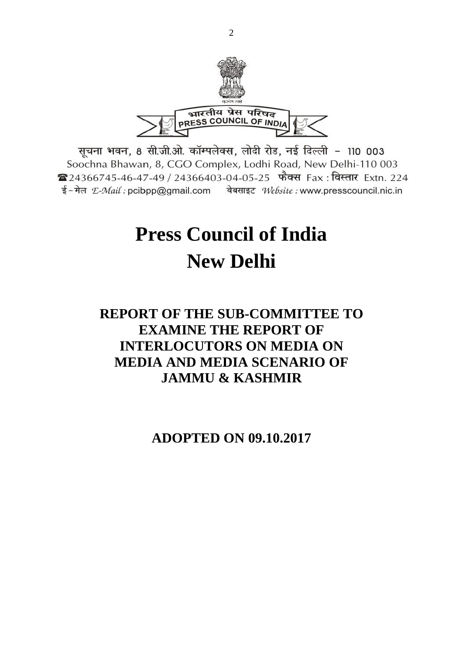

सूचना भवन, 8 सी.जी.ओ. कॉम्पलेक्स, लोदी रोड, नई दिल्ली - 110 003 Soochna Bhawan, 8, CGO Complex, Lodhi Road, New Delhi-110 003 24366745-46-47-49 / 24366403-04-05-25 फैक्स Fax: विस्तार Extn. 224 ई-मेल  $E$ -Mail: pcibpp@gmail.com वेबसाइट Website: www.presscouncil.nic.in

# **Press Council of India New Delhi**

## **REPORT OF THE SUB-COMMITTEE TO EXAMINE THE REPORT OF INTERLOCUTORS ON MEDIA ON MEDIA AND MEDIA SCENARIO OF JAMMU & KASHMIR**

**ADOPTED ON 09.10.2017**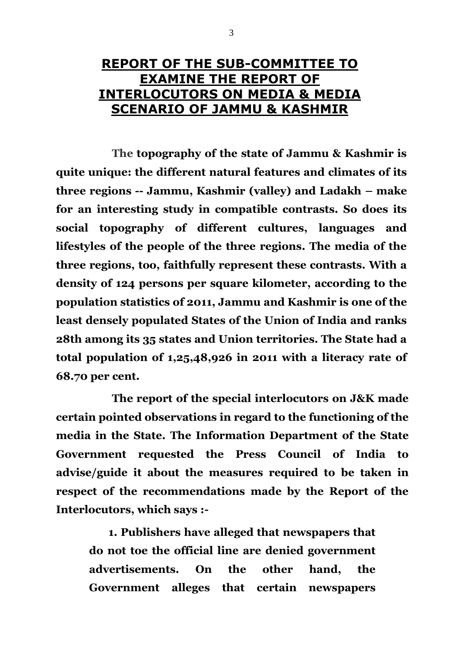## **REPORT OF THE SUB-COMMITTEE TO EXAMINE THE REPORT OF INTERLOCUTORS ON MEDIA & MEDIA SCENARIO OF JAMMU & KASHMIR**

**The topography of the state of Jammu & Kashmir is quite unique: the different natural features and climates of its three regions -- Jammu, Kashmir (valley) and Ladakh – make for an interesting study in compatible contrasts. So does its social topography of different cultures, languages and lifestyles of the people of the three regions. The media of the three regions, too, faithfully represent these contrasts. With a density of 124 persons per square kilometer, according to the population statistics of 2011, Jammu and Kashmir is one of the least densely populated States of the Union of India and ranks 28th among its 35 states and Union territories. The State had a total population of 1,25,48,926 in 2011 with a literacy rate of 68.70 per cent.**

**The report of the special interlocutors on J&K made certain pointed observations in regard to the functioning of the media in the State. The Information Department of the State Government requested the Press Council of India to advise/guide it about the measures required to be taken in respect of the recommendations made by the Report of the Interlocutors, which says :-**

 **1. Publishers have alleged that newspapers that do not toe the official line are denied government advertisements. On the other hand, the Government alleges that certain newspapers**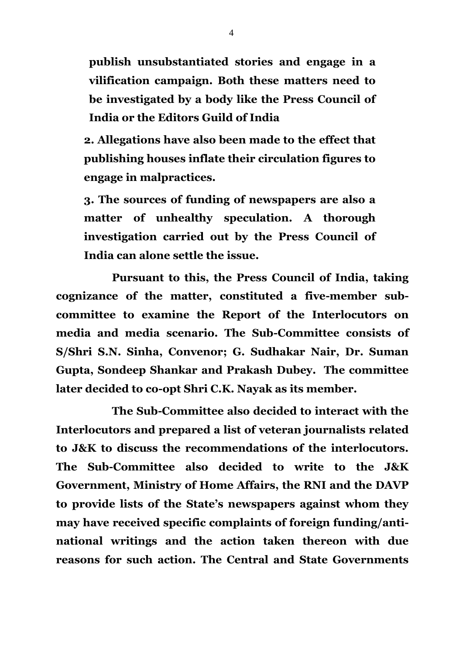**publish unsubstantiated stories and engage in a vilification campaign. Both these matters need to be investigated by a body like the Press Council of India or the Editors Guild of India**

**2. Allegations have also been made to the effect that publishing houses inflate their circulation figures to engage in malpractices.**

**3. The sources of funding of newspapers are also a matter of unhealthy speculation. A thorough investigation carried out by the Press Council of India can alone settle the issue.**

**Pursuant to this, the Press Council of India, taking cognizance of the matter, constituted a five-member subcommittee to examine the Report of the Interlocutors on media and media scenario. The Sub-Committee consists of S/Shri S.N. Sinha, Convenor; G. Sudhakar Nair, Dr. Suman Gupta, Sondeep Shankar and Prakash Dubey. The committee later decided to co-opt Shri C.K. Nayak as its member.** 

**The Sub-Committee also decided to interact with the Interlocutors and prepared a list of veteran journalists related to J&K to discuss the recommendations of the interlocutors. The Sub-Committee also decided to write to the J&K Government, Ministry of Home Affairs, the RNI and the DAVP to provide lists of the State's newspapers against whom they may have received specific complaints of foreign funding/antinational writings and the action taken thereon with due reasons for such action. The Central and State Governments**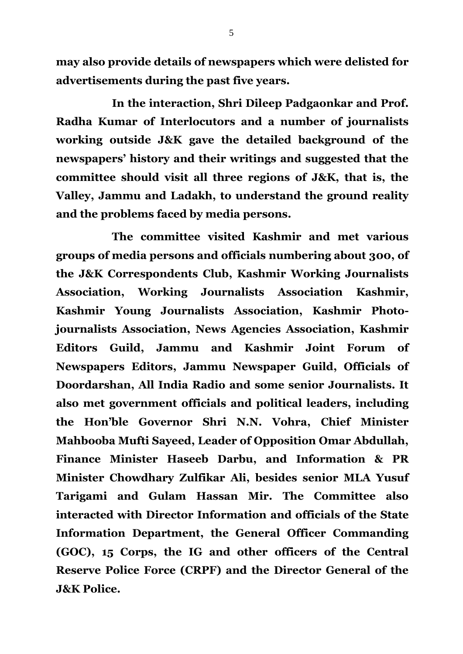**may also provide details of newspapers which were delisted for advertisements during the past five years.** 

**In the interaction, Shri Dileep Padgaonkar and Prof. Radha Kumar of Interlocutors and a number of journalists working outside J&K gave the detailed background of the newspapers' history and their writings and suggested that the committee should visit all three regions of J&K, that is, the Valley, Jammu and Ladakh, to understand the ground reality and the problems faced by media persons.**

**The committee visited Kashmir and met various groups of media persons and officials numbering about 300, of the J&K Correspondents Club, Kashmir Working Journalists Association, Working Journalists Association Kashmir, Kashmir Young Journalists Association, Kashmir Photojournalists Association, News Agencies Association, Kashmir Editors Guild, Jammu and Kashmir Joint Forum of Newspapers Editors, Jammu Newspaper Guild, Officials of Doordarshan, All India Radio and some senior Journalists. It also met government officials and political leaders, including the Hon'ble Governor Shri N.N. Vohra, Chief Minister Mahbooba Mufti Sayeed, Leader of Opposition Omar Abdullah, Finance Minister Haseeb Darbu, and Information & PR Minister Chowdhary Zulfikar Ali, besides senior MLA Yusuf Tarigami and Gulam Hassan Mir. The Committee also interacted with Director Information and officials of the State Information Department, the General Officer Commanding (GOC), 15 Corps, the IG and other officers of the Central Reserve Police Force (CRPF) and the Director General of the J&K Police.**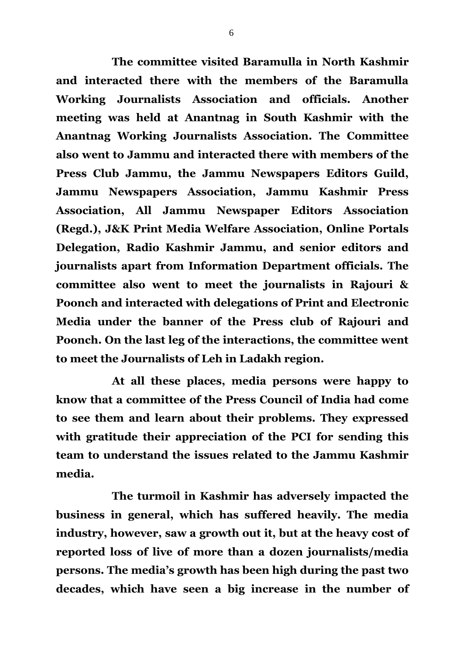**The committee visited Baramulla in North Kashmir and interacted there with the members of the Baramulla Working Journalists Association and officials. Another meeting was held at Anantnag in South Kashmir with the Anantnag Working Journalists Association. The Committee also went to Jammu and interacted there with members of the Press Club Jammu, the Jammu Newspapers Editors Guild, Jammu Newspapers Association, Jammu Kashmir Press Association, All Jammu Newspaper Editors Association (Regd.), J&K Print Media Welfare Association, Online Portals Delegation, Radio Kashmir Jammu, and senior editors and journalists apart from Information Department officials. The committee also went to meet the journalists in Rajouri & Poonch and interacted with delegations of Print and Electronic Media under the banner of the Press club of Rajouri and Poonch. On the last leg of the interactions, the committee went to meet the Journalists of Leh in Ladakh region.** 

**At all these places, media persons were happy to know that a committee of the Press Council of India had come to see them and learn about their problems. They expressed with gratitude their appreciation of the PCI for sending this team to understand the issues related to the Jammu Kashmir media.** 

**The turmoil in Kashmir has adversely impacted the business in general, which has suffered heavily. The media industry, however, saw a growth out it, but at the heavy cost of reported loss of live of more than a dozen journalists/media persons. The media's growth has been high during the past two decades, which have seen a big increase in the number of**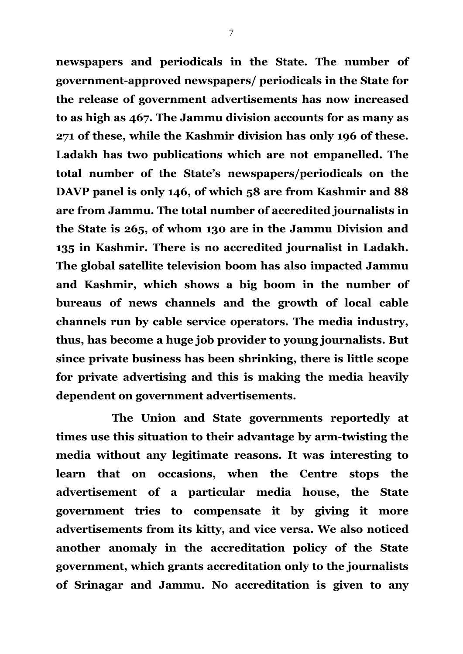**newspapers and periodicals in the State. The number of government-approved newspapers/ periodicals in the State for the release of government advertisements has now increased to as high as 467. The Jammu division accounts for as many as 271 of these, while the Kashmir division has only 196 of these. Ladakh has two publications which are not empanelled. The total number of the State's newspapers/periodicals on the DAVP panel is only 146, of which 58 are from Kashmir and 88 are from Jammu. The total number of accredited journalists in the State is 265, of whom 130 are in the Jammu Division and 135 in Kashmir. There is no accredited journalist in Ladakh. The global satellite television boom has also impacted Jammu and Kashmir, which shows a big boom in the number of bureaus of news channels and the growth of local cable channels run by cable service operators. The media industry, thus, has become a huge job provider to young journalists. But since private business has been shrinking, there is little scope for private advertising and this is making the media heavily dependent on government advertisements.**

**The Union and State governments reportedly at times use this situation to their advantage by arm-twisting the media without any legitimate reasons. It was interesting to learn that on occasions, when the Centre stops the advertisement of a particular media house, the State government tries to compensate it by giving it more advertisements from its kitty, and vice versa. We also noticed another anomaly in the accreditation policy of the State government, which grants accreditation only to the journalists of Srinagar and Jammu. No accreditation is given to any**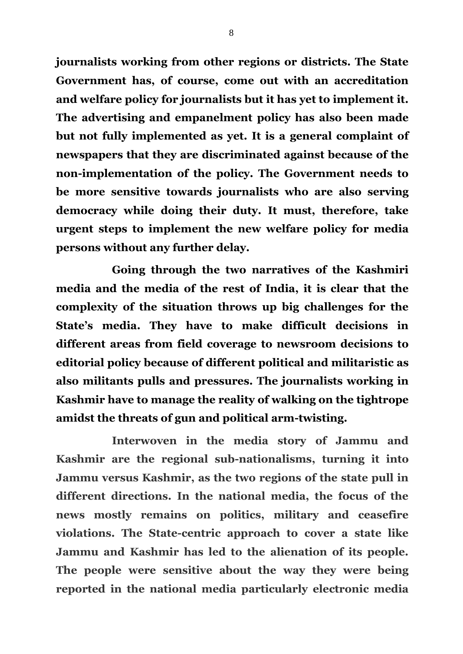**journalists working from other regions or districts. The State Government has, of course, come out with an accreditation and welfare policy for journalists but it has yet to implement it. The advertising and empanelment policy has also been made but not fully implemented as yet. It is a general complaint of newspapers that they are discriminated against because of the non-implementation of the policy. The Government needs to be more sensitive towards journalists who are also serving democracy while doing their duty. It must, therefore, take urgent steps to implement the new welfare policy for media persons without any further delay.** 

**Going through the two narratives of the Kashmiri media and the media of the rest of India, it is clear that the complexity of the situation throws up big challenges for the State's media. They have to make difficult decisions in different areas from field coverage to newsroom decisions to editorial policy because of different political and militaristic as also militants pulls and pressures. The journalists working in Kashmir have to manage the reality of walking on the tightrope amidst the threats of gun and political arm-twisting.**

**Interwoven in the media story of Jammu and Kashmir are the regional sub-nationalisms, turning it into Jammu versus Kashmir, as the two regions of the state pull in different directions. In the national media, the focus of the news mostly remains on politics, military and ceasefire violations. The State-centric approach to cover a state like Jammu and Kashmir has led to the alienation of its people. The people were sensitive about the way they were being reported in the national media particularly electronic media**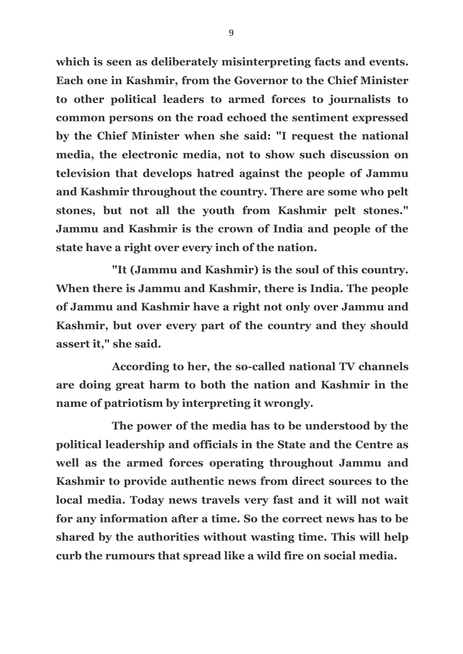**which is seen as deliberately misinterpreting facts and events. Each one in Kashmir, from the Governor to the Chief Minister to other political leaders to armed forces to journalists to common persons on the road echoed the sentiment expressed by the Chief Minister when she said: "I request the national media, the electronic media, not to show such discussion on television that develops hatred against the people of Jammu and Kashmir throughout the country. There are some who pelt stones, but not all the youth from Kashmir pelt stones." Jammu and Kashmir is the crown of India and people of the state have a right over every inch of the nation.**

**"It (Jammu and Kashmir) is the soul of this country. When there is Jammu and Kashmir, there is India. The people of Jammu and Kashmir have a right not only over Jammu and Kashmir, but over every part of the country and they should assert it," she said.**

**According to her, the so-called national TV channels are doing great harm to both the nation and Kashmir in the name of patriotism by interpreting it wrongly.** 

**The power of the media has to be understood by the political leadership and officials in the State and the Centre as well as the armed forces operating throughout Jammu and Kashmir to provide authentic news from direct sources to the local media. Today news travels very fast and it will not wait for any information after a time. So the correct news has to be shared by the authorities without wasting time. This will help curb the rumours that spread like a wild fire on social media.**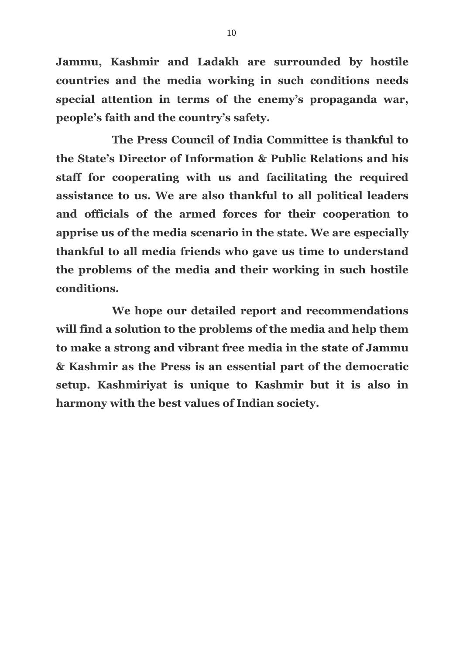**Jammu, Kashmir and Ladakh are surrounded by hostile countries and the media working in such conditions needs special attention in terms of the enemy's propaganda war, people's faith and the country's safety.**

**The Press Council of India Committee is thankful to the State's Director of Information & Public Relations and his staff for cooperating with us and facilitating the required assistance to us. We are also thankful to all political leaders and officials of the armed forces for their cooperation to apprise us of the media scenario in the state. We are especially thankful to all media friends who gave us time to understand the problems of the media and their working in such hostile conditions.** 

**We hope our detailed report and recommendations will find a solution to the problems of the media and help them to make a strong and vibrant free media in the state of Jammu & Kashmir as the Press is an essential part of the democratic setup. Kashmiriyat is unique to Kashmir but it is also in harmony with the best values of Indian society.**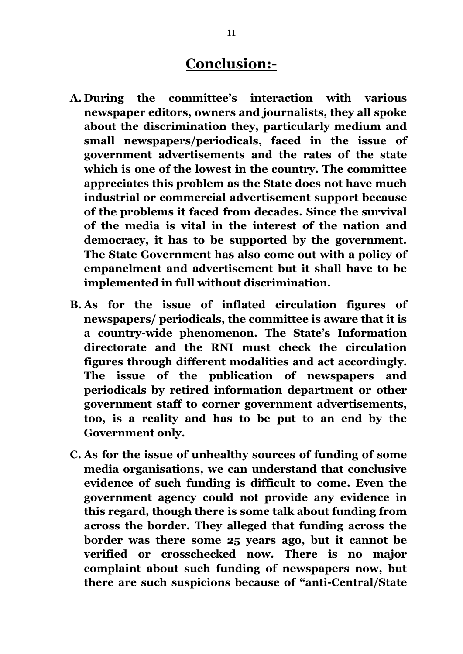## **Conclusion:-**

- **A. During the committee's interaction with various newspaper editors, owners and journalists, they all spoke about the discrimination they, particularly medium and small newspapers/periodicals, faced in the issue of government advertisements and the rates of the state which is one of the lowest in the country. The committee appreciates this problem as the State does not have much industrial or commercial advertisement support because of the problems it faced from decades. Since the survival of the media is vital in the interest of the nation and democracy, it has to be supported by the government. The State Government has also come out with a policy of empanelment and advertisement but it shall have to be implemented in full without discrimination.**
- **B. As for the issue of inflated circulation figures of newspapers/ periodicals, the committee is aware that it is a country-wide phenomenon. The State's Information directorate and the RNI must check the circulation figures through different modalities and act accordingly. The issue of the publication of newspapers and periodicals by retired information department or other government staff to corner government advertisements, too, is a reality and has to be put to an end by the Government only.**
- **C. As for the issue of unhealthy sources of funding of some media organisations, we can understand that conclusive evidence of such funding is difficult to come. Even the government agency could not provide any evidence in this regard, though there is some talk about funding from across the border. They alleged that funding across the border was there some 25 years ago, but it cannot be verified or crosschecked now. There is no major complaint about such funding of newspapers now, but there are such suspicions because of "anti-Central/State**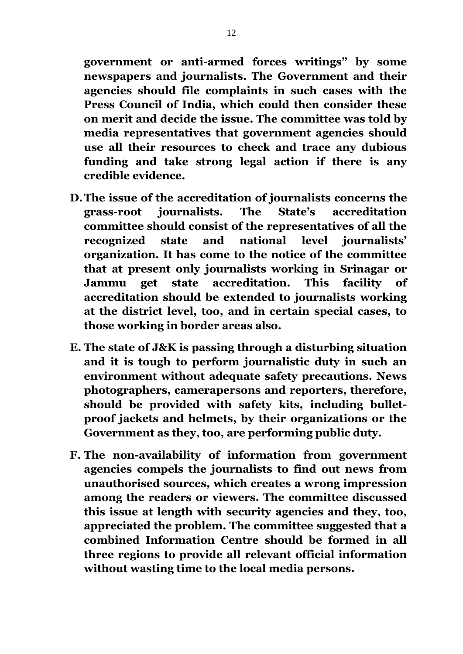**government or anti-armed forces writings" by some newspapers and journalists. The Government and their agencies should file complaints in such cases with the Press Council of India, which could then consider these on merit and decide the issue. The committee was told by media representatives that government agencies should use all their resources to check and trace any dubious funding and take strong legal action if there is any credible evidence.**

- **D.The issue of the accreditation of journalists concerns the grass-root journalists. The State's accreditation committee should consist of the representatives of all the recognized state and national level journalists' organization. It has come to the notice of the committee that at present only journalists working in Srinagar or Jammu get state accreditation. This facility of accreditation should be extended to journalists working at the district level, too, and in certain special cases, to those working in border areas also.**
- **E. The state of J&K is passing through a disturbing situation and it is tough to perform journalistic duty in such an environment without adequate safety precautions. News photographers, camerapersons and reporters, therefore, should be provided with safety kits, including bulletproof jackets and helmets, by their organizations or the Government as they, too, are performing public duty.**
- **F. The non-availability of information from government agencies compels the journalists to find out news from unauthorised sources, which creates a wrong impression among the readers or viewers. The committee discussed this issue at length with security agencies and they, too, appreciated the problem. The committee suggested that a combined Information Centre should be formed in all three regions to provide all relevant official information without wasting time to the local media persons.**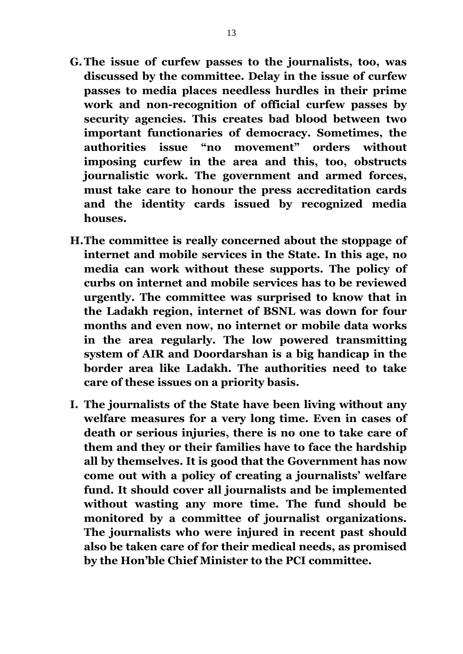- **G.The issue of curfew passes to the journalists, too, was discussed by the committee. Delay in the issue of curfew passes to media places needless hurdles in their prime work and non-recognition of official curfew passes by security agencies. This creates bad blood between two important functionaries of democracy. Sometimes, the authorities issue "no movement" orders without imposing curfew in the area and this, too, obstructs journalistic work. The government and armed forces, must take care to honour the press accreditation cards and the identity cards issued by recognized media houses.**
- **H.The committee is really concerned about the stoppage of internet and mobile services in the State. In this age, no media can work without these supports. The policy of curbs on internet and mobile services has to be reviewed urgently. The committee was surprised to know that in the Ladakh region, internet of BSNL was down for four months and even now, no internet or mobile data works in the area regularly. The low powered transmitting system of AIR and Doordarshan is a big handicap in the border area like Ladakh. The authorities need to take care of these issues on a priority basis.**
- **I. The journalists of the State have been living without any welfare measures for a very long time. Even in cases of death or serious injuries, there is no one to take care of them and they or their families have to face the hardship all by themselves. It is good that the Government has now come out with a policy of creating a journalists' welfare fund. It should cover all journalists and be implemented without wasting any more time. The fund should be monitored by a committee of journalist organizations. The journalists who were injured in recent past should also be taken care of for their medical needs, as promised by the Hon'ble Chief Minister to the PCI committee.**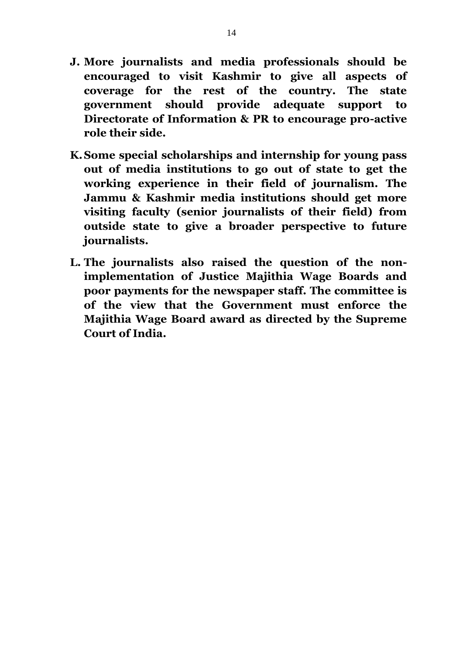- **J. More journalists and media professionals should be encouraged to visit Kashmir to give all aspects of coverage for the rest of the country. The state government should provide adequate support to Directorate of Information & PR to encourage pro-active role their side.**
- **K.Some special scholarships and internship for young pass out of media institutions to go out of state to get the working experience in their field of journalism. The Jammu & Kashmir media institutions should get more visiting faculty (senior journalists of their field) from outside state to give a broader perspective to future journalists.**
- **L. The journalists also raised the question of the nonimplementation of Justice Majithia Wage Boards and poor payments for the newspaper staff. The committee is of the view that the Government must enforce the Majithia Wage Board award as directed by the Supreme Court of India.**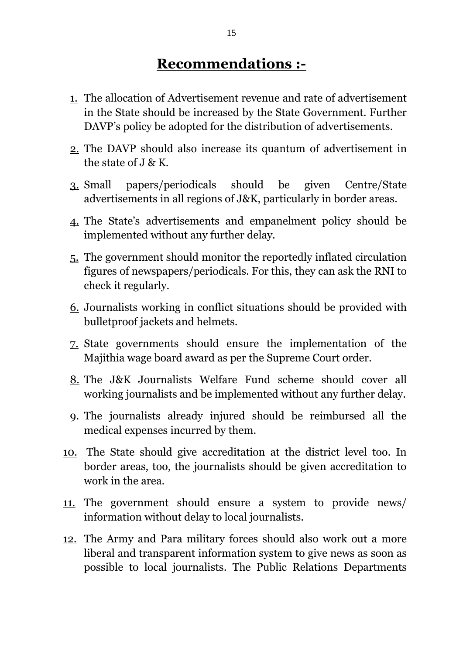# **Recommendations :-**

- 1. The allocation of Advertisement revenue and rate of advertisement in the State should be increased by the State Government. Further DAVP's policy be adopted for the distribution of advertisements.
- 2. The DAVP should also increase its quantum of advertisement in the state of J & K.
- 3. Small papers/periodicals should be given Centre/State advertisements in all regions of J&K, particularly in border areas.
- 4. The State's advertisements and empanelment policy should be implemented without any further delay.
- 5. The government should monitor the reportedly inflated circulation figures of newspapers/periodicals. For this, they can ask the RNI to check it regularly.
- 6. Journalists working in conflict situations should be provided with bulletproof jackets and helmets.
- 7. State governments should ensure the implementation of the Majithia wage board award as per the Supreme Court order.
- 8. The J&K Journalists Welfare Fund scheme should cover all working journalists and be implemented without any further delay.
- 9. The journalists already injured should be reimbursed all the medical expenses incurred by them.
- 10. The State should give accreditation at the district level too. In border areas, too, the journalists should be given accreditation to work in the area.
- 11. The government should ensure a system to provide news/ information without delay to local journalists.
- 12. The Army and Para military forces should also work out a more liberal and transparent information system to give news as soon as possible to local journalists. The Public Relations Departments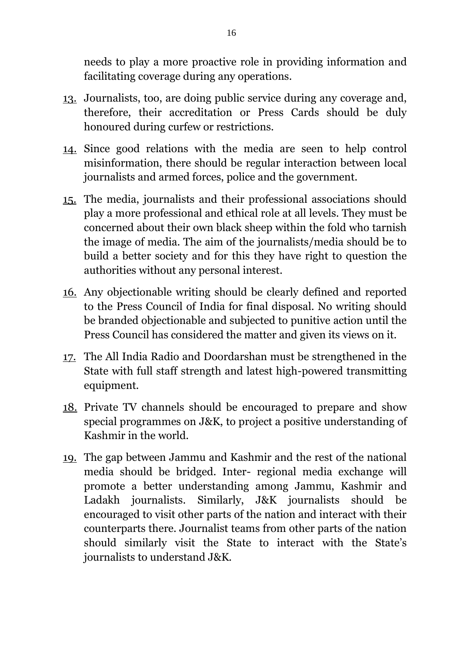needs to play a more proactive role in providing information and facilitating coverage during any operations.

- 13. Journalists, too, are doing public service during any coverage and, therefore, their accreditation or Press Cards should be duly honoured during curfew or restrictions.
- 14. Since good relations with the media are seen to help control misinformation, there should be regular interaction between local journalists and armed forces, police and the government.
- 15. The media, journalists and their professional associations should play a more professional and ethical role at all levels. They must be concerned about their own black sheep within the fold who tarnish the image of media. The aim of the journalists/media should be to build a better society and for this they have right to question the authorities without any personal interest.
- 16. Any objectionable writing should be clearly defined and reported to the Press Council of India for final disposal. No writing should be branded objectionable and subjected to punitive action until the Press Council has considered the matter and given its views on it.
- 17. The All India Radio and Doordarshan must be strengthened in the State with full staff strength and latest high-powered transmitting equipment.
- 18. Private TV channels should be encouraged to prepare and show special programmes on J&K, to project a positive understanding of Kashmir in the world.
- 19. The gap between Jammu and Kashmir and the rest of the national media should be bridged. Inter- regional media exchange will promote a better understanding among Jammu, Kashmir and Ladakh journalists. Similarly, J&K journalists should be encouraged to visit other parts of the nation and interact with their counterparts there. Journalist teams from other parts of the nation should similarly visit the State to interact with the State's journalists to understand J&K.